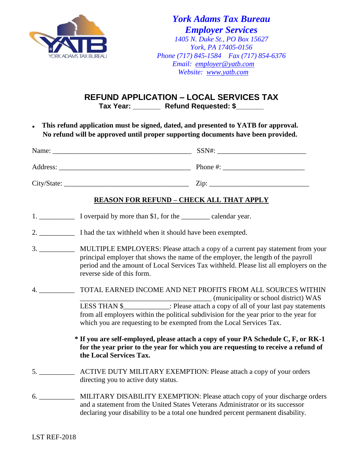

*York Adams Tax Bureau Employer Services 1405 N. Duke St., PO Box 15627 York, PA 17405-0156 Phone (717) 845-1584 Fax (717) 854-6376 Email: [employer@yatb.com](mailto:employer@yatb.com) Website: [www.yatb.com](http://www.yatb.com/)*

**REFUND APPLICATION – LOCAL SERVICES TAX Tax Year: \_\_\_\_\_\_\_ Refund Requested: \$\_\_\_\_\_\_\_**

. **This refund application must be signed, dated, and presented to YATB for approval. No refund will be approved until proper supporting documents have been provided.**

| Name:       | SSN#:    |
|-------------|----------|
| Address:    | Phone #: |
| City/State: | Zip:     |

## **REASON FOR REFUND – CHECK ALL THAT APPLY**

- 1. \_\_\_\_\_\_\_\_\_\_\_\_\_ I overpaid by more than \$1, for the \_\_\_\_\_\_\_\_\_ calendar year.
- 2. **I** had the tax withheld when it should have been exempted.
- 3. \_\_\_\_\_\_\_\_\_\_ MULTIPLE EMPLOYERS: Please attach a copy of a current pay statement from your principal employer that shows the name of the employer, the length of the payroll period and the amount of Local Services Tax withheld. Please list all employers on the reverse side of this form.
- 4. \_\_\_\_\_\_\_\_\_\_ TOTAL EARNED INCOME AND NET PROFITS FROM ALL SOURCES WITHIN \_\_\_\_\_\_\_\_\_\_\_\_\_\_\_\_\_\_\_\_\_\_\_\_\_\_\_\_\_\_\_\_\_\_\_\_\_ (municipality or school district) WAS LESS THAN \$\_\_\_\_\_\_\_\_\_\_\_\_\_: Please attach a copy of all of your last pay statements from all employers within the political subdivision for the year prior to the year for which you are requesting to be exempted from the Local Services Tax.

**\* If you are self-employed, please attach a copy of your PA Schedule C, F, or RK-1 for the year prior to the year for which you are requesting to receive a refund of the Local Services Tax.**

- 5. \_\_\_\_\_\_\_\_\_\_ ACTIVE DUTY MILITARY EXEMPTION: Please attach a copy of your orders directing you to active duty status.
- 6. \_\_\_\_\_\_\_\_\_\_ MILITARY DISABILITY EXEMPTION: Please attach copy of your discharge orders and a statement from the United States Veterans Administrator or its successor declaring your disability to be a total one hundred percent permanent disability.